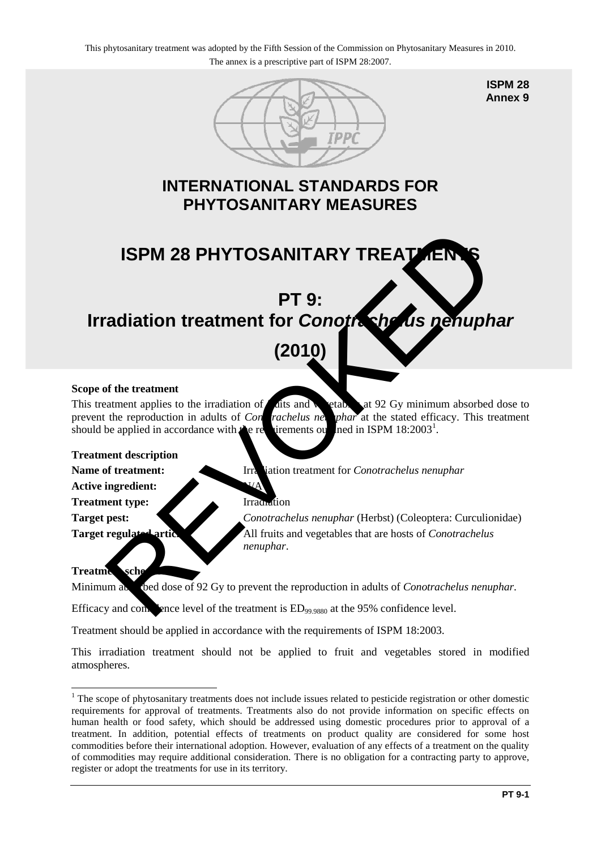

**ISPM 28 Annex 9**

### **INTERNATIONAL STANDARDS FOR PHYTOSANITARY MEASURES**

# **ISPM 28 PHYTOSANITARY TREATMENT**

### **PT 9: Irradiation treatment for** *Conotrachelus nenuphar*

## **(2010)**

#### **Scope of the treatment**

This treatment applies to the irradiation of  $\epsilon$  at  $\sin \theta$  at 92 Gy minimum absorbed dose to prevent the reproduction in adults of *Con* rachelus net phar at the stated efficacy. This treatment should be applied in accordance with  $t$  requirements out ned in ISPM  $18:2003^1$ . ISPM 28 PHYTOSANITARY TREATER<br>
PT 9:<br>
(2010)<br>
of the treatment applies to the irradiation of this and<br>
the reproduction in adults of Contrachelus may what at the stated efficiev. This treatment<br>
the excription in adults of

#### **Treatment description**

**Name of treatment:** Irradiation treatment for *Conotrachelus nenuphar* 

**Active ingredient:** 

**Treatment type:** Irradiation

**Target pest:** *Conotrachelus nenuphar* (Herbst) (Coleoptera: Curculionidae) Target regulated articles: All fruits and vegetables that are hosts of *Conotrachelus nenuphar*.

#### **Treatment sche**

Minimum absorbed dose of 92 Gy to prevent the reproduction in adults of *Conotrachelus nenuphar*.

Efficacy and confidence level of the treatment is  $ED_{99.9880}$  at the 95% confidence level.

Treatment should be applied in accordance with the requirements of ISPM 18:2003.

This irradiation treatment should not be applied to fruit and vegetables stored in modified atmospheres.

<span id="page-0-0"></span><sup>&</sup>lt;u>.</u> <sup>1</sup> The scope of phytosanitary treatments does not include issues related to pesticide registration or other domestic requirements for approval of treatments. Treatments also do not provide information on specific effects on human health or food safety, which should be addressed using domestic procedures prior to approval of a treatment. In addition, potential effects of treatments on product quality are considered for some host commodities before their international adoption. However, evaluation of any effects of a treatment on the quality of commodities may require additional consideration. There is no obligation for a contracting party to approve, register or adopt the treatments for use in its territory.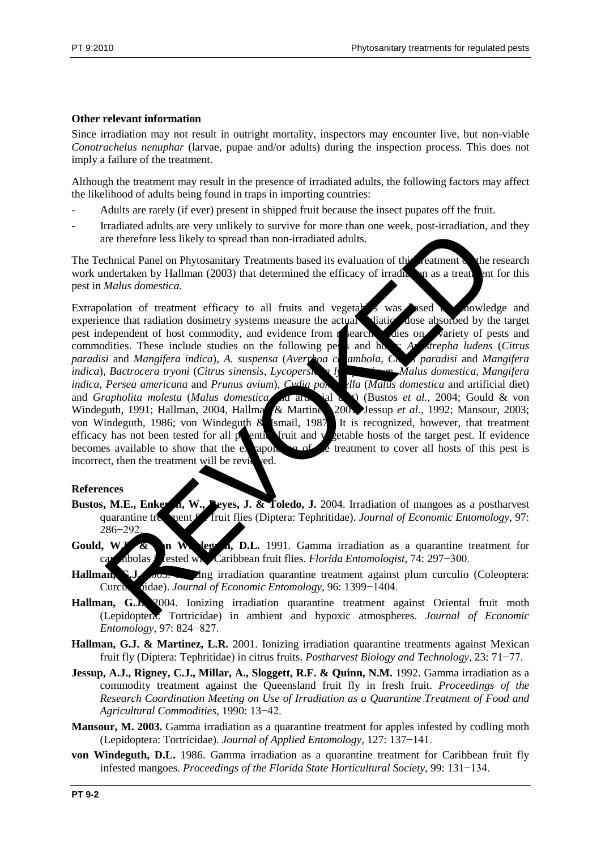#### **Other relevant information**

Since irradiation may not result in outright mortality, inspectors may encounter live, but non-viable *Conotrachelus nenuphar* (larvae, pupae and/or adults) during the inspection process. This does not imply a failure of the treatment.

Although the treatment may result in the presence of irradiated adults, the following factors may affect the likelihood of adults being found in traps in importing countries:

- Adults are rarely (if ever) present in shipped fruit because the insect pupates off the fruit.
- Irradiated adults are very unlikely to survive for more than one week, post-irradiation, and they are therefore less likely to spread than non-irradiated adults.

The Technical Panel on Phytosanitary Treatments based its evaluation of this reatment of the research work undertaken by Hallman (2003) that determined the efficacy of irradiation as a treatment for this pest in *Malus domestica*.

Extrapolation of treatment efficacy to all fruits and vegetables was ased a howledge and experience that radiation dosimetry systems measure the actual diational dose absorbed by the target experience that radiation dosimetry systems measure the actual viation pest independent of host commodity, and evidence from research dies on variety of pests and commodities. These include studies on the following personal home *Anastrepha ludens* (*Citrus paradisi* and *Mangifera indica*), *A. suspensa* (*Averrhoa carambola*, *Citrus paradisi* and *Mangifera indica*), *Bactrocera tryoni* (*Citrus sinensis*, *Lycopersia I*<sup>r</sup> *indica*), *Bactrocera tryoni* (*Citrus sinensis, Lycopersical*, *Magitarity*, *Magitarity*, *Magitarity*, *Magitarity*, *Magitarity*, *Magitarity*, *Magitarity*, *Magitarity*, *Magitarity*, *Magitarity*, *Magitarity*, *Ma indica*, *Persea americana* and *Prunus avium*), *Cydia ponting illa* (*Malus domestica* and artificial diet) and *Grapholita molesta* (*Malus domestica* direction and diet) (Bustos *et al.*, 2004; Gould & von Windeguth, 1991; Hallman, 2004, Hallman & Martine 2001, Jessup *et al.*, 1992; Mansour, 2003; von Windeguth, 1986; von Windeguth & Ismail, 1987. It is recognized, however, that treatment efficacy has not been tested for all  $p$  entire fruit and vertable hosts of the target pest. If evidence becomes available to show that the extrapolation of the treatment to cover all hosts of this pest is incorrect, then the treatment will be reviewed. Experience also start via the control of the method and the method and the start of the control of the control of the control of the control of the control of the control of the control of the control of the details.<br>
Sche

#### **References**

- **Bustos, M.E., Enkerlin, W., Peyes, J. & Toledo, J.** 2004. Irradiation of mangoes as a postharvest quarantine treatment for fruit flies (Diptera: Tephritidae). *Journal of Economic Entomology*, 97: 286−292.
- Gould, W.P. & n W. leg. n, D.L. 1991. Gamma irradiation as a quarantine treatment for carambolas infested with Caribbean fruit flies. *Florida Entomologist*, 74: 297−300.
- **Hallman, G.J.** 2003. Ing irradiation quarantine treatment against plum curculio (Coleoptera: Curculionidae). *Journal of Economic Entomology*, 96: 1399−1404.
- **Hallman, G.J.** 2004. Ionizing irradiation quarantine treatment against Oriental fruit moth (Lepidoptera: Tortricidae) in ambient and hypoxic atmospheres. *Journal of Economic Entomology*, 97: 824−827.
- **Hallman, G.J. & Martinez, L.R.** 2001. Ionizing irradiation quarantine treatments against Mexican fruit fly (Diptera: Tephritidae) in citrus fruits. *Postharvest Biology and Technology*, 23: 71−77.
- **Jessup, A.J., Rigney, C.J., Millar, A., Sloggett, R.F. & Quinn, N.M.** 1992. Gamma irradiation as a commodity treatment against the Queensland fruit fly in fresh fruit. *Proceedings of the Research Coordination Meeting on Use of Irradiation as a Quarantine Treatment of Food and Agricultural Commodities*, 1990: 13−42.
- **Mansour, M. 2003.** Gamma irradiation as a quarantine treatment for apples infested by codling moth (Lepidoptera: Tortricidae). *Journal of Applied Entomology*, 127: 137−141.
- **von Windeguth, D.L.** 1986. Gamma irradiation as a quarantine treatment for Caribbean fruit fly infested mangoes. *Proceedings of the Florida State Horticultural Society*, 99: 131−134.